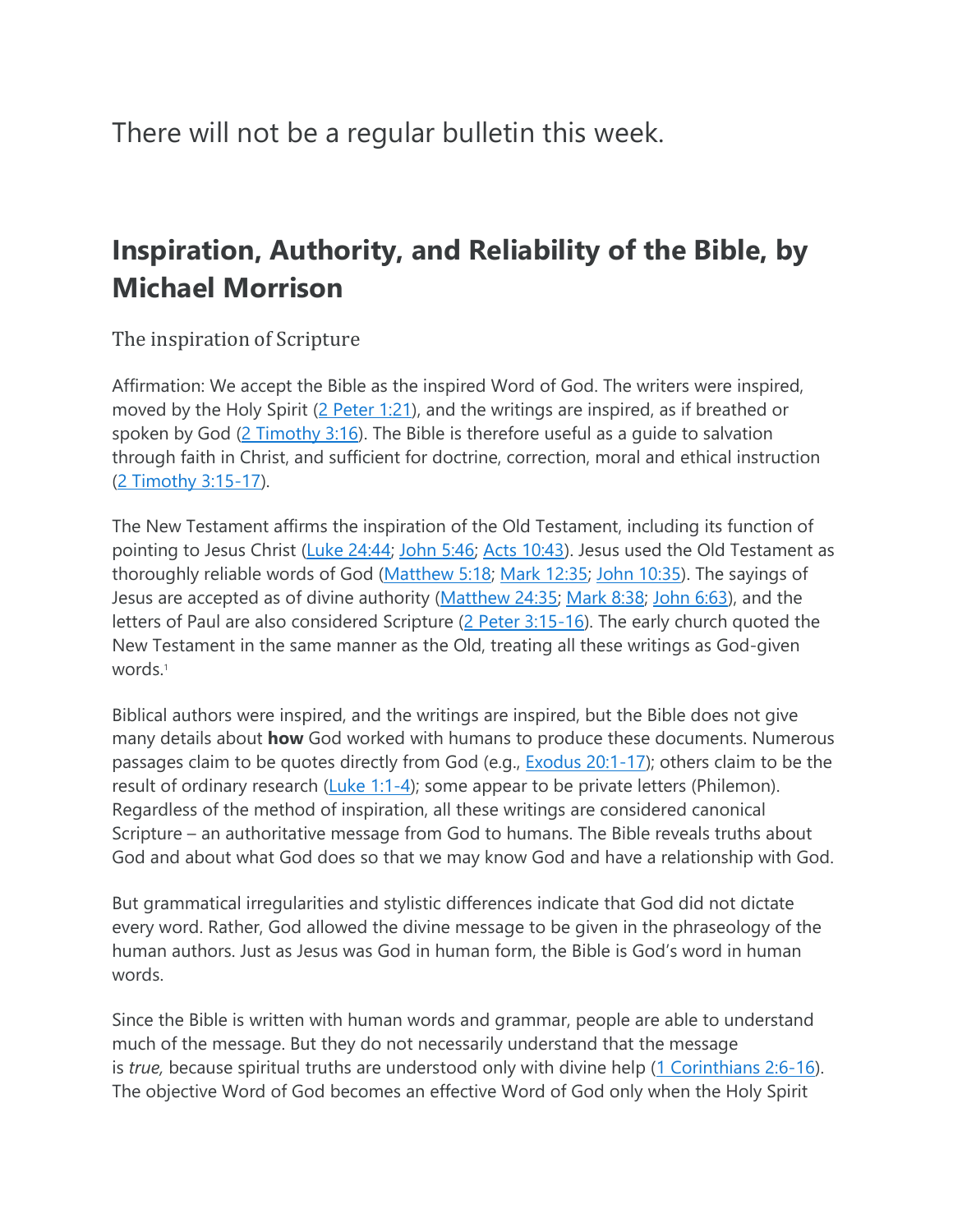There will not be a regular bulletin this week.

## **Inspiration, Authority, and Reliability of the Bible, by Michael Morrison**

The inspiration of Scripture

Affirmation: We accept the Bible as the inspired Word of God. The writers were inspired, moved by the Holy Spirit [\(2 Peter 1:21\)](http://biblia.com/bible/niv/2%20Pet%201.21), and the writings are inspired, as if breathed or spoken by God [\(2 Timothy 3:16\)](http://biblia.com/bible/niv/2%20Tim%203.16). The Bible is therefore useful as a guide to salvation through faith in Christ, and sufficient for doctrine, correction, moral and ethical instruction [\(2 Timothy 3:15-17\)](http://biblia.com/bible/niv/2%20Tim%203.15-17).

The New Testament affirms the inspiration of the Old Testament, including its function of pointing to Jesus Christ [\(Luke 24:44;](http://biblia.com/bible/niv/Luke%2024.44) [John 5:46;](http://biblia.com/bible/niv/John%205.46) [Acts 10:43\)](http://biblia.com/bible/niv/Acts%2010.43). Jesus used the Old Testament as thoroughly reliable words of God [\(Matthew 5:18;](http://biblia.com/bible/niv/Matt%205.18) [Mark 12:35;](http://biblia.com/bible/niv/Mark%2012.35) [John 10:35\)](http://biblia.com/bible/niv/John%2010.35). The sayings of Jesus are accepted as of divine authority [\(Matthew 24:35;](http://biblia.com/bible/niv/Matt%2024.35) [Mark 8:38;](http://biblia.com/bible/niv/Mark%208.38) [John 6:63\)](http://biblia.com/bible/niv/John%206.63), and the letters of Paul are also considered Scripture [\(2 Peter 3:15-16\)](http://biblia.com/bible/niv/2%20Pet%203.15-16). The early church quoted the New Testament in the same manner as the Old, treating all these writings as God-given words.<sup>1</sup>

Biblical authors were inspired, and the writings are inspired, but the Bible does not give many details about **how** God worked with humans to produce these documents. Numerous passages claim to be quotes directly from God (e.g., [Exodus 20:1-17\)](http://biblia.com/bible/niv/Exod%2020.1-17); others claim to be the result of ordinary research  $(Luke 1:1-4)$ ; some appear to be private letters (Philemon). Regardless of the method of inspiration, all these writings are considered canonical Scripture – an authoritative message from God to humans. The Bible reveals truths about God and about what God does so that we may know God and have a relationship with God.

But grammatical irregularities and stylistic differences indicate that God did not dictate every word. Rather, God allowed the divine message to be given in the phraseology of the human authors. Just as Jesus was God in human form, the Bible is God's word in human words.

Since the Bible is written with human words and grammar, people are able to understand much of the message. But they do not necessarily understand that the message is *true*, because spiritual truths are understood only with divine help [\(1 Corinthians 2:6-16\)](http://biblia.com/bible/niv/1%20Cor%202.6-16). The objective Word of God becomes an effective Word of God only when the Holy Spirit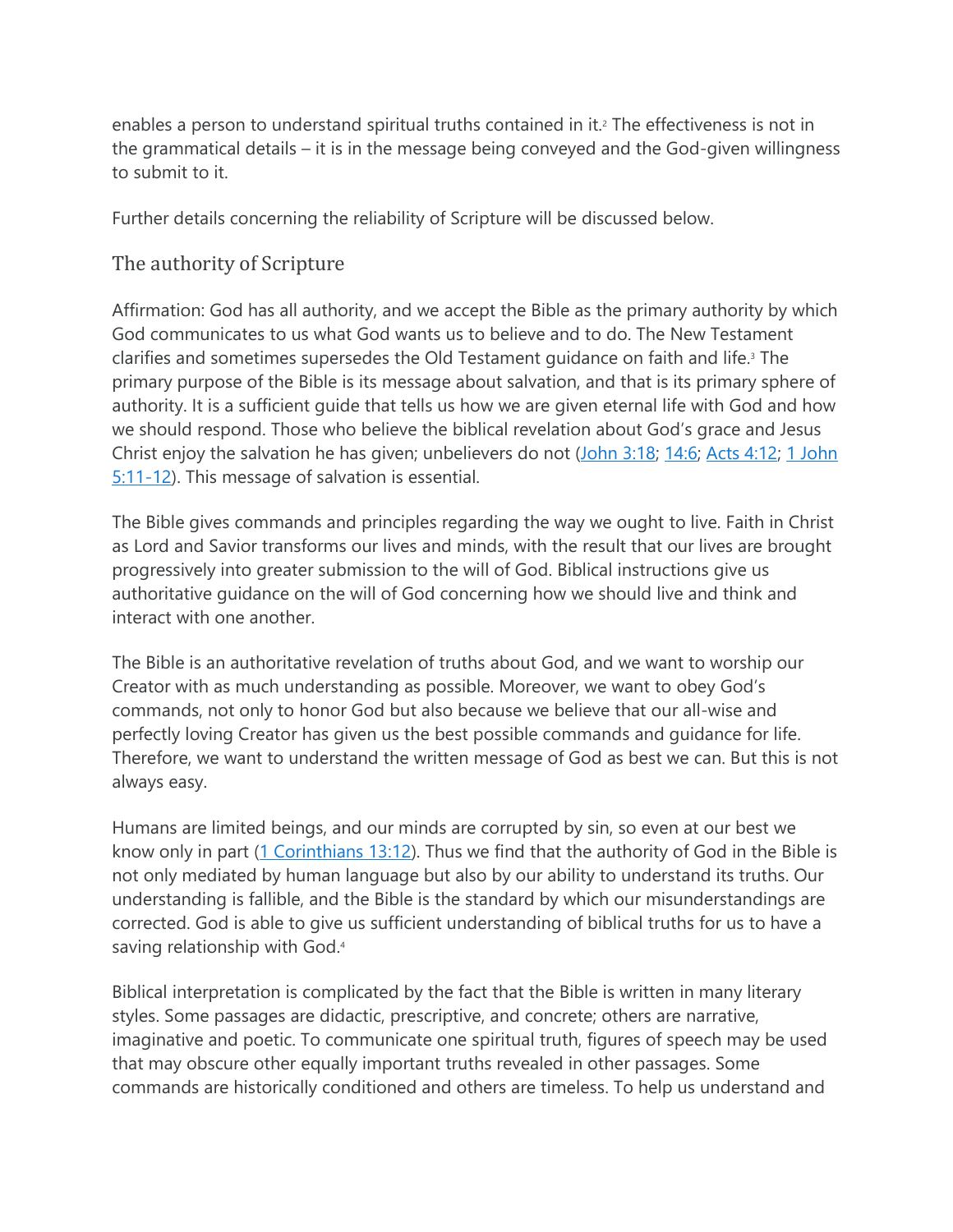enables a person to understand spiritual truths contained in it.<sup>2</sup> The effectiveness is not in the grammatical details – it is in the message being conveyed and the God-given willingness to submit to it.

Further details concerning the reliability of Scripture will be discussed below.

## The authority of Scripture

Affirmation: God has all authority, and we accept the Bible as the primary authority by which God communicates to us what God wants us to believe and to do. The New Testament clarifies and sometimes supersedes the Old Testament guidance on faith and life.<sup>3</sup> The primary purpose of the Bible is its message about salvation, and that is its primary sphere of authority. It is a sufficient guide that tells us how we are given eternal life with God and how we should respond. Those who believe the biblical revelation about God's grace and Jesus Christ enjoy the salvation he has given; unbelievers do not [\(John 3:18;](http://biblia.com/bible/niv/John%203.18) [14:6;](http://biblia.com/bible/niv/John%2014.6) [Acts 4:12;](http://biblia.com/bible/niv/Acts%204.12) 1 John [5:11-12\)](http://biblia.com/bible/niv/1%20John%205.11-12). This message of salvation is essential.

The Bible gives commands and principles regarding the way we ought to live. Faith in Christ as Lord and Savior transforms our lives and minds, with the result that our lives are brought progressively into greater submission to the will of God. Biblical instructions give us authoritative guidance on the will of God concerning how we should live and think and interact with one another.

The Bible is an authoritative revelation of truths about God, and we want to worship our Creator with as much understanding as possible. Moreover, we want to obey God's commands, not only to honor God but also because we believe that our all-wise and perfectly loving Creator has given us the best possible commands and guidance for life. Therefore, we want to understand the written message of God as best we can. But this is not always easy.

Humans are limited beings, and our minds are corrupted by sin, so even at our best we know only in part [\(1 Corinthians 13:12\)](http://biblia.com/bible/niv/1%20Cor%2013.12). Thus we find that the authority of God in the Bible is not only mediated by human language but also by our ability to understand its truths. Our understanding is fallible, and the Bible is the standard by which our misunderstandings are corrected. God is able to give us sufficient understanding of biblical truths for us to have a saving relationship with God.<sup>4</sup>

Biblical interpretation is complicated by the fact that the Bible is written in many literary styles. Some passages are didactic, prescriptive, and concrete; others are narrative, imaginative and poetic. To communicate one spiritual truth, figures of speech may be used that may obscure other equally important truths revealed in other passages. Some commands are historically conditioned and others are timeless. To help us understand and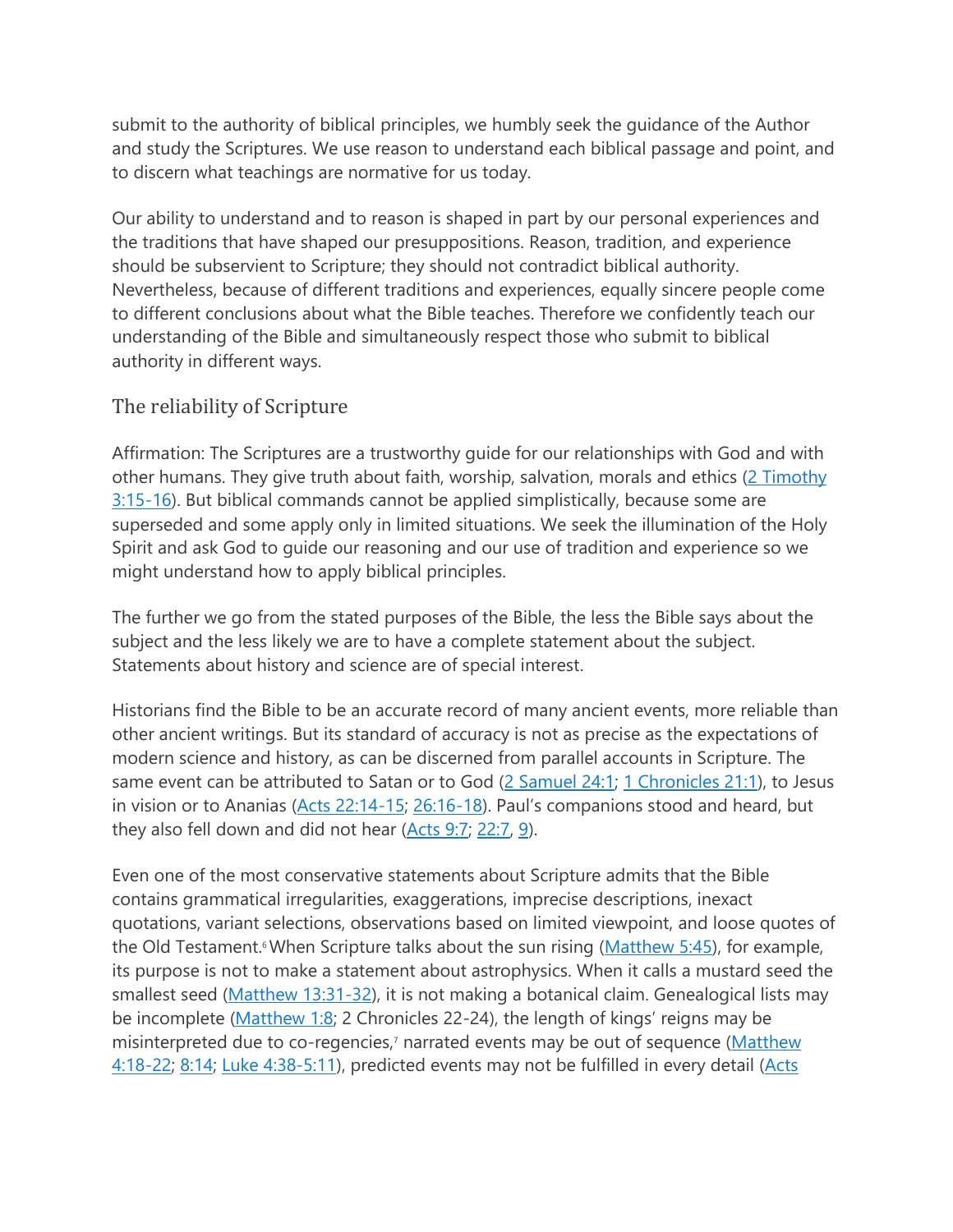submit to the authority of biblical principles, we humbly seek the guidance of the Author and study the Scriptures. We use reason to understand each biblical passage and point, and to discern what teachings are normative for us today.

Our ability to understand and to reason is shaped in part by our personal experiences and the traditions that have shaped our presuppositions. Reason, tradition, and experience should be subservient to Scripture; they should not contradict biblical authority. Nevertheless, because of different traditions and experiences, equally sincere people come to different conclusions about what the Bible teaches. Therefore we confidently teach our understanding of the Bible and simultaneously respect those who submit to biblical authority in different ways.

## The reliability of Scripture

Affirmation: The Scriptures are a trustworthy guide for our relationships with God and with other humans. They give truth about faith, worship, salvation, morals and ethics  $(2$  Timothy  $3:15-16$ ). But biblical commands cannot be applied simplistically, because some are superseded and some apply only in limited situations. We seek the illumination of the Holy Spirit and ask God to guide our reasoning and our use of tradition and experience so we might understand how to apply biblical principles.

The further we go from the stated purposes of the Bible, the less the Bible says about the subject and the less likely we are to have a complete statement about the subject. Statements about history and science are of special interest.

Historians find the Bible to be an accurate record of many ancient events, more reliable than other ancient writings. But its standard of accuracy is not as precise as the expectations of modern science and history, as can be discerned from parallel accounts in Scripture. The same event can be attributed to Satan or to God [\(2 Samuel 24:1;](http://biblia.com/bible/niv/2%20Sam%2024.1) [1 Chronicles 21:1\)](http://biblia.com/bible/niv/1%20Chron%2021.1), to Jesus in vision or to Ananias [\(Acts 22:14-15;](http://biblia.com/bible/niv/Acts%2022.14-15) [26:16-18](http://biblia.com/bible/niv/Acts%2026.16-18)). Paul's companions stood and heard, but they also fell down and did not hear [\(Acts 9:7;](http://biblia.com/bible/niv/Acts%209.7) [22:7,](http://biblia.com/bible/niv/Acts%2022.7) [9\)](http://biblia.com/bible/niv/Acts%2022.9).

Even one of the most conservative statements about Scripture admits that the Bible contains grammatical irregularities, exaggerations, imprecise descriptions, inexact quotations, variant selections, observations based on limited viewpoint, and loose quotes of the Old Testament.<sup>6</sup> When Scripture talks about the sun rising [\(Matthew 5:45\)](http://biblia.com/bible/niv/Matt%205.45), for example, its purpose is not to make a statement about astrophysics. When it calls a mustard seed the smallest seed [\(Matthew 13:31-32\)](http://biblia.com/bible/niv/Matt%2013.31-32), it is not making a botanical claim. Genealogical lists may be incomplete [\(Matthew 1:8;](http://biblia.com/bible/niv/Matt%201.8) 2 Chronicles 22-24), the length of kings' reigns may be misinterpreted due to co-regencies,<sup>7</sup> narrated events may be out of sequence (Matthew [4:18-22;](http://biblia.com/bible/niv/Matt%204.18-22) [8:14;](http://biblia.com/bible/niv/Matt%208.14) [Luke 4:38-5:11\)](http://biblia.com/bible/niv/Luke%204.38-5.11), predicted events may not be fulfilled in every detail (Acts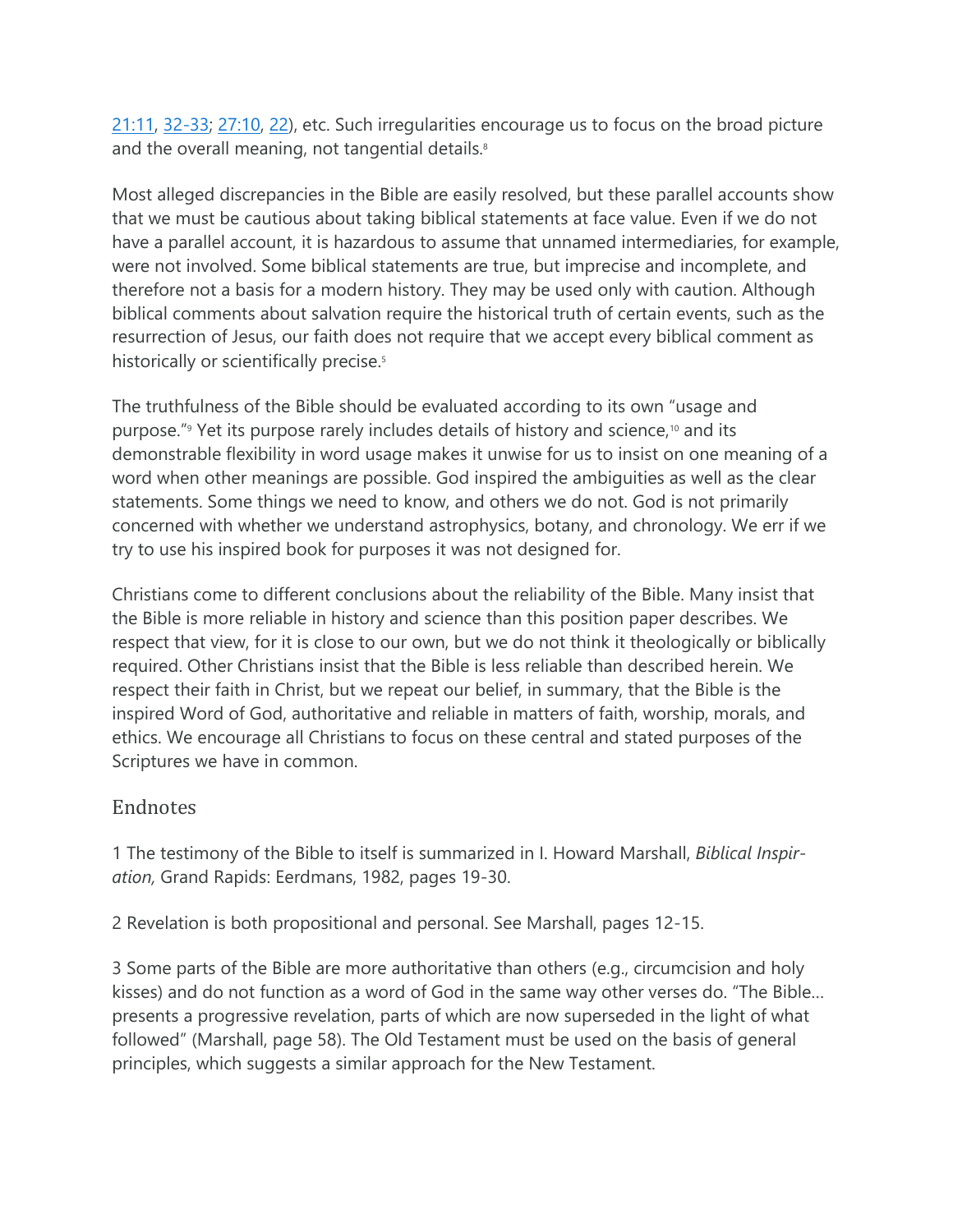[21:11,](http://biblia.com/bible/niv/Acts%2021.11) [32-33;](http://biblia.com/bible/niv/Acts%2021.32-33) [27:10,](http://biblia.com/bible/niv/Acts%2027.10) [22\)](http://biblia.com/bible/niv/Acts%2027.22), etc. Such irregularities encourage us to focus on the broad picture and the overall meaning, not tangential details.<sup>8</sup>

Most alleged discrepancies in the Bible are easily resolved, but these parallel accounts show that we must be cautious about taking biblical statements at face value. Even if we do not have a parallel account, it is hazardous to assume that unnamed intermediaries, for example, were not involved. Some biblical statements are true, but imprecise and incomplete, and therefore not a basis for a modern history. They may be used only with caution. Although biblical comments about salvation require the historical truth of certain events, such as the resurrection of Jesus, our faith does not require that we accept every biblical comment as historically or scientifically precise.<sup>5</sup>

The truthfulness of the Bible should be evaluated according to its own "usage and purpose."<sup>9</sup> Yet its purpose rarely includes details of history and science,<sup>10</sup> and its demonstrable flexibility in word usage makes it unwise for us to insist on one meaning of a word when other meanings are possible. God inspired the ambiguities as well as the clear statements. Some things we need to know, and others we do not. God is not primarily concerned with whether we understand astrophysics, botany, and chronology. We err if we try to use his inspired book for purposes it was not designed for.

Christians come to different conclusions about the reliability of the Bible. Many insist that the Bible is more reliable in history and science than this position paper describes. We respect that view, for it is close to our own, but we do not think it theologically or biblically required. Other Christians insist that the Bible is less reliable than described herein. We respect their faith in Christ, but we repeat our belief, in summary, that the Bible is the inspired Word of God, authoritative and reliable in matters of faith, worship, morals, and ethics. We encourage all Christians to focus on these central and stated purposes of the Scriptures we have in common.

## Endnotes

1 The testimony of the Bible to itself is summarized in I. Howard Marshall, *Biblical Inspiration,* Grand Rapids: Eerdmans, 1982, pages 19-30.

2 Revelation is both propositional and personal. See Marshall, pages 12-15.

3 Some parts of the Bible are more authoritative than others (e.g., circumcision and holy kisses) and do not function as a word of God in the same way other verses do. "The Bible… presents a progressive revelation, parts of which are now superseded in the light of what followed" (Marshall, page 58). The Old Testament must be used on the basis of general principles, which suggests a similar approach for the New Testament.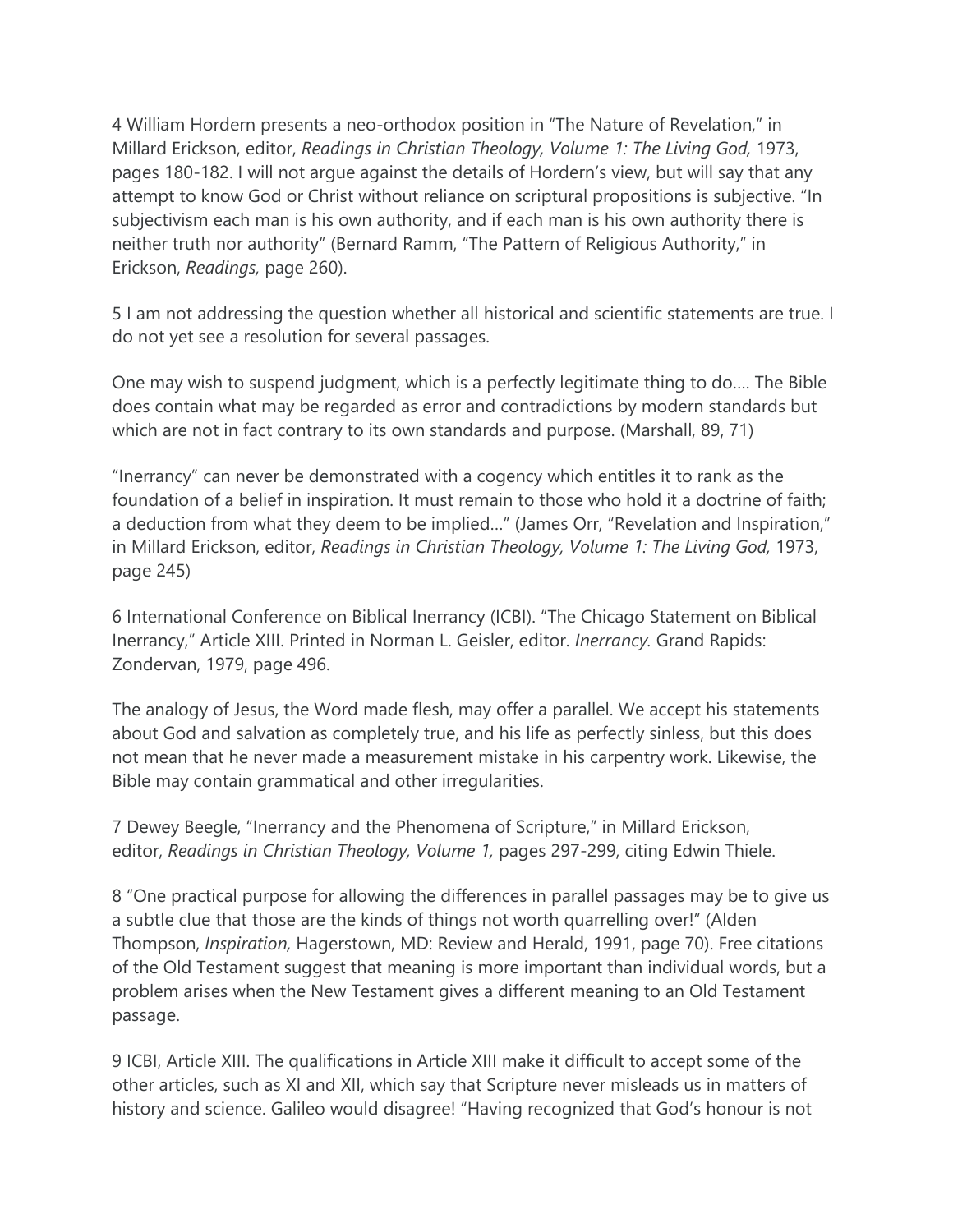4 William Hordern presents a neo-orthodox position in "The Nature of Revelation," in Millard Erickson, editor, *Readings in Christian Theology, Volume 1: The Living God,* 1973, pages 180-182. I will not argue against the details of Hordern's view, but will say that any attempt to know God or Christ without reliance on scriptural propositions is subjective. "In subjectivism each man is his own authority, and if each man is his own authority there is neither truth nor authority" (Bernard Ramm, "The Pattern of Religious Authority," in Erickson, *Readings,* page 260).

5 I am not addressing the question whether all historical and scientific statements are true. I do not yet see a resolution for several passages.

One may wish to suspend judgment, which is a perfectly legitimate thing to do…. The Bible does contain what may be regarded as error and contradictions by modern standards but which are not in fact contrary to its own standards and purpose. (Marshall, 89, 71)

"Inerrancy" can never be demonstrated with a cogency which entitles it to rank as the foundation of a belief in inspiration. It must remain to those who hold it a doctrine of faith; a deduction from what they deem to be implied…" (James Orr, "Revelation and Inspiration," in Millard Erickson, editor, *Readings in Christian Theology, Volume 1: The Living God,* 1973, page 245)

6 International Conference on Biblical Inerrancy (ICBI). "The Chicago Statement on Biblical Inerrancy," Article XIII. Printed in Norman L. Geisler, editor. *Inerrancy.* Grand Rapids: Zondervan, 1979, page 496.

The analogy of Jesus, the Word made flesh, may offer a parallel. We accept his statements about God and salvation as completely true, and his life as perfectly sinless, but this does not mean that he never made a measurement mistake in his carpentry work. Likewise, the Bible may contain grammatical and other irregularities.

7 Dewey Beegle, "Inerrancy and the Phenomena of Scripture," in Millard Erickson, editor, *Readings in Christian Theology, Volume 1,* pages 297-299, citing Edwin Thiele.

8 "One practical purpose for allowing the differences in parallel passages may be to give us a subtle clue that those are the kinds of things not worth quarrelling over!" (Alden Thompson, *Inspiration,* Hagerstown, MD: Review and Herald, 1991, page 70). Free citations of the Old Testament suggest that meaning is more important than individual words, but a problem arises when the New Testament gives a different meaning to an Old Testament passage.

9 ICBI, Article XIII. The qualifications in Article XIII make it difficult to accept some of the other articles, such as XI and XII, which say that Scripture never misleads us in matters of history and science. Galileo would disagree! "Having recognized that God's honour is not